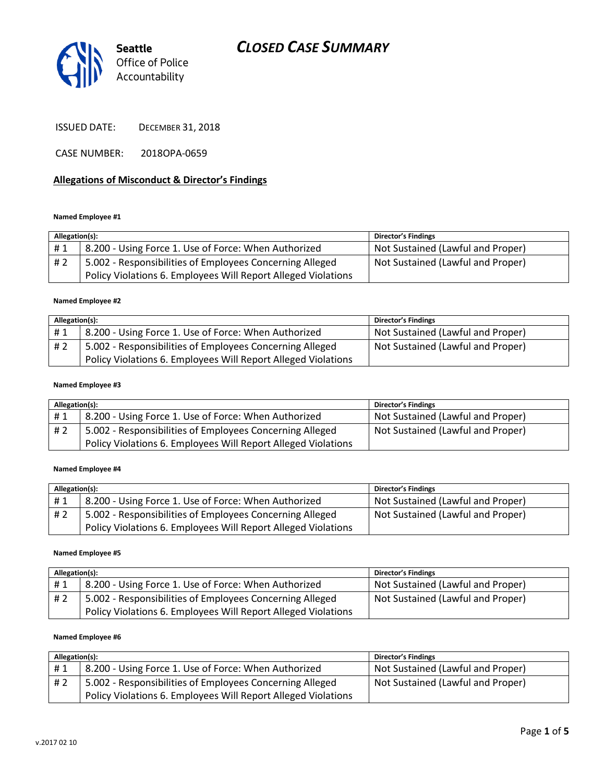# *CLOSED CASE SUMMARY*



ISSUED DATE: DECEMBER 31, 2018

CASE NUMBER: 2018OPA-0659

### **Allegations of Misconduct & Director's Findings**

#### **Named Employee #1**

| Allegation(s): |                                                               | <b>Director's Findings</b>        |
|----------------|---------------------------------------------------------------|-----------------------------------|
| #1             | 8.200 - Using Force 1. Use of Force: When Authorized          | Not Sustained (Lawful and Proper) |
| #2             | 5.002 - Responsibilities of Employees Concerning Alleged      | Not Sustained (Lawful and Proper) |
|                | Policy Violations 6. Employees Will Report Alleged Violations |                                   |

#### **Named Employee #2**

| Allegation(s): |                                                               | <b>Director's Findings</b>        |
|----------------|---------------------------------------------------------------|-----------------------------------|
| #1             | 8.200 - Using Force 1. Use of Force: When Authorized          | Not Sustained (Lawful and Proper) |
| #2             | 5.002 - Responsibilities of Employees Concerning Alleged      | Not Sustained (Lawful and Proper) |
|                | Policy Violations 6. Employees Will Report Alleged Violations |                                   |

#### **Named Employee #3**

| Allegation(s): |                                                               | <b>Director's Findings</b>        |
|----------------|---------------------------------------------------------------|-----------------------------------|
| #1             | 8.200 - Using Force 1. Use of Force: When Authorized          | Not Sustained (Lawful and Proper) |
| #2             | 5.002 - Responsibilities of Employees Concerning Alleged      | Not Sustained (Lawful and Proper) |
|                | Policy Violations 6. Employees Will Report Alleged Violations |                                   |

#### **Named Employee #4**

| Allegation(s): |                                                               | <b>Director's Findings</b>        |
|----------------|---------------------------------------------------------------|-----------------------------------|
| #1             | 8.200 - Using Force 1. Use of Force: When Authorized          | Not Sustained (Lawful and Proper) |
| # 2            | 5.002 - Responsibilities of Employees Concerning Alleged      | Not Sustained (Lawful and Proper) |
|                | Policy Violations 6. Employees Will Report Alleged Violations |                                   |

#### **Named Employee #5**

| Allegation(s): |                                                               | <b>Director's Findings</b>        |
|----------------|---------------------------------------------------------------|-----------------------------------|
| #1             | 8.200 - Using Force 1. Use of Force: When Authorized          | Not Sustained (Lawful and Proper) |
| #2             | 5.002 - Responsibilities of Employees Concerning Alleged      | Not Sustained (Lawful and Proper) |
|                | Policy Violations 6. Employees Will Report Alleged Violations |                                   |

#### **Named Employee #6**

| Allegation(s): |                                                               | <b>Director's Findings</b>        |
|----------------|---------------------------------------------------------------|-----------------------------------|
| #1             | 8.200 - Using Force 1. Use of Force: When Authorized          | Not Sustained (Lawful and Proper) |
| #2             | 5.002 - Responsibilities of Employees Concerning Alleged      | Not Sustained (Lawful and Proper) |
|                | Policy Violations 6. Employees Will Report Alleged Violations |                                   |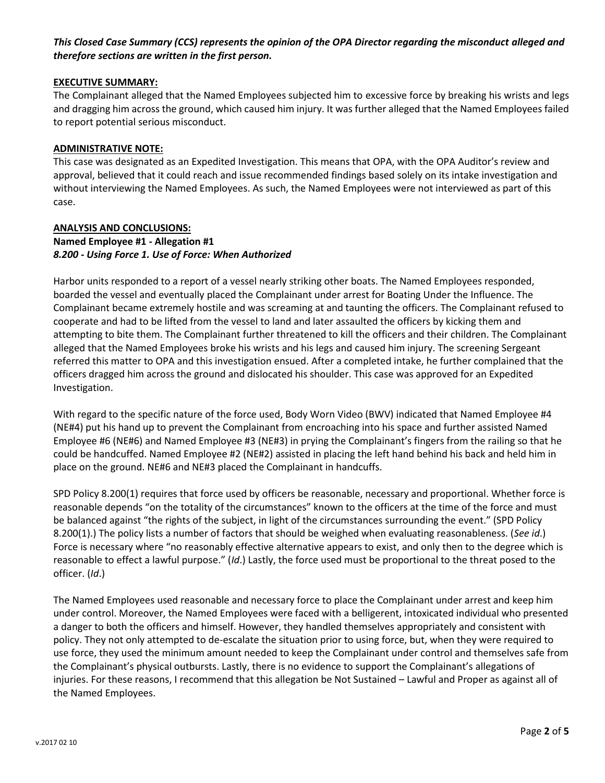# *This Closed Case Summary (CCS) represents the opinion of the OPA Director regarding the misconduct alleged and therefore sections are written in the first person.*

## **EXECUTIVE SUMMARY:**

The Complainant alleged that the Named Employees subjected him to excessive force by breaking his wrists and legs and dragging him across the ground, which caused him injury. It was further alleged that the Named Employees failed to report potential serious misconduct.

#### **ADMINISTRATIVE NOTE:**

This case was designated as an Expedited Investigation. This means that OPA, with the OPA Auditor's review and approval, believed that it could reach and issue recommended findings based solely on its intake investigation and without interviewing the Named Employees. As such, the Named Employees were not interviewed as part of this case.

## **ANALYSIS AND CONCLUSIONS: Named Employee #1 - Allegation #1** *8.200 - Using Force 1. Use of Force: When Authorized*

Harbor units responded to a report of a vessel nearly striking other boats. The Named Employees responded, boarded the vessel and eventually placed the Complainant under arrest for Boating Under the Influence. The Complainant became extremely hostile and was screaming at and taunting the officers. The Complainant refused to cooperate and had to be lifted from the vessel to land and later assaulted the officers by kicking them and attempting to bite them. The Complainant further threatened to kill the officers and their children. The Complainant alleged that the Named Employees broke his wrists and his legs and caused him injury. The screening Sergeant referred this matter to OPA and this investigation ensued. After a completed intake, he further complained that the officers dragged him across the ground and dislocated his shoulder. This case was approved for an Expedited Investigation.

With regard to the specific nature of the force used, Body Worn Video (BWV) indicated that Named Employee #4 (NE#4) put his hand up to prevent the Complainant from encroaching into his space and further assisted Named Employee #6 (NE#6) and Named Employee #3 (NE#3) in prying the Complainant's fingers from the railing so that he could be handcuffed. Named Employee #2 (NE#2) assisted in placing the left hand behind his back and held him in place on the ground. NE#6 and NE#3 placed the Complainant in handcuffs.

SPD Policy 8.200(1) requires that force used by officers be reasonable, necessary and proportional. Whether force is reasonable depends "on the totality of the circumstances" known to the officers at the time of the force and must be balanced against "the rights of the subject, in light of the circumstances surrounding the event." (SPD Policy 8.200(1).) The policy lists a number of factors that should be weighed when evaluating reasonableness. (*See id*.) Force is necessary where "no reasonably effective alternative appears to exist, and only then to the degree which is reasonable to effect a lawful purpose." (*Id*.) Lastly, the force used must be proportional to the threat posed to the officer. (*Id*.)

The Named Employees used reasonable and necessary force to place the Complainant under arrest and keep him under control. Moreover, the Named Employees were faced with a belligerent, intoxicated individual who presented a danger to both the officers and himself. However, they handled themselves appropriately and consistent with policy. They not only attempted to de-escalate the situation prior to using force, but, when they were required to use force, they used the minimum amount needed to keep the Complainant under control and themselves safe from the Complainant's physical outbursts. Lastly, there is no evidence to support the Complainant's allegations of injuries. For these reasons, I recommend that this allegation be Not Sustained – Lawful and Proper as against all of the Named Employees.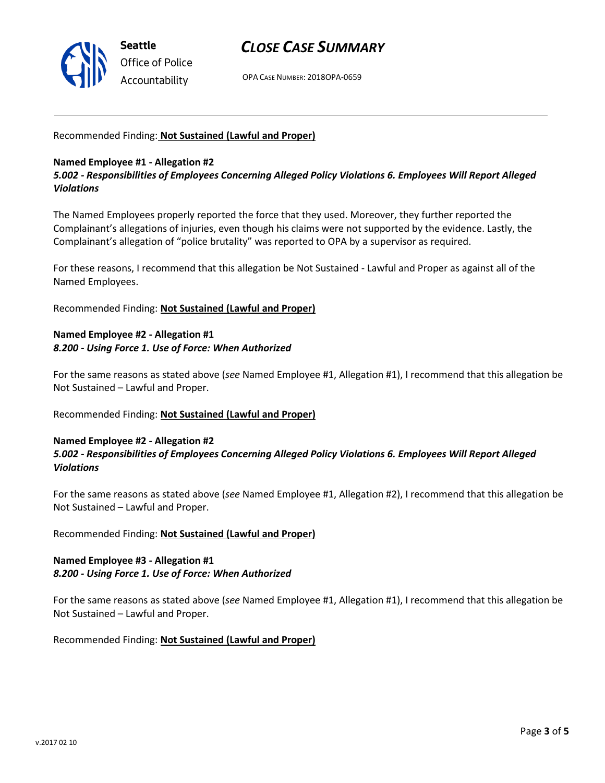

# *CLOSE CASE SUMMARY*

OPA CASE NUMBER: 2018OPA-0659

## Recommended Finding: **Not Sustained (Lawful and Proper)**

## **Named Employee #1 - Allegation #2**

*5.002 - Responsibilities of Employees Concerning Alleged Policy Violations 6. Employees Will Report Alleged Violations*

The Named Employees properly reported the force that they used. Moreover, they further reported the Complainant's allegations of injuries, even though his claims were not supported by the evidence. Lastly, the Complainant's allegation of "police brutality" was reported to OPA by a supervisor as required.

For these reasons, I recommend that this allegation be Not Sustained - Lawful and Proper as against all of the Named Employees.

Recommended Finding: **Not Sustained (Lawful and Proper)**

# **Named Employee #2 - Allegation #1** *8.200 - Using Force 1. Use of Force: When Authorized*

For the same reasons as stated above (*see* Named Employee #1, Allegation #1), I recommend that this allegation be Not Sustained – Lawful and Proper.

Recommended Finding: **Not Sustained (Lawful and Proper)**

## **Named Employee #2 - Allegation #2** *5.002 - Responsibilities of Employees Concerning Alleged Policy Violations 6. Employees Will Report Alleged Violations*

For the same reasons as stated above (*see* Named Employee #1, Allegation #2), I recommend that this allegation be Not Sustained – Lawful and Proper.

Recommended Finding: **Not Sustained (Lawful and Proper)**

# **Named Employee #3 - Allegation #1** *8.200 - Using Force 1. Use of Force: When Authorized*

For the same reasons as stated above (*see* Named Employee #1, Allegation #1), I recommend that this allegation be Not Sustained – Lawful and Proper.

Recommended Finding: **Not Sustained (Lawful and Proper)**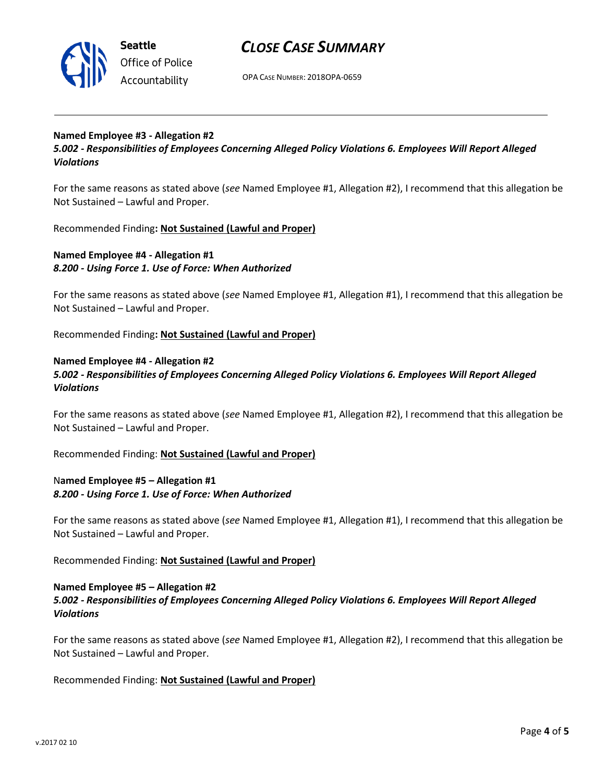

**Seattle** *Office of Police Accountability*

# *CLOSE CASE SUMMARY*

OPA CASE NUMBER: 2018OPA-0659

# **Named Employee #3 - Allegation #2**

*5.002 - Responsibilities of Employees Concerning Alleged Policy Violations 6. Employees Will Report Alleged Violations*

For the same reasons as stated above (*see* Named Employee #1, Allegation #2), I recommend that this allegation be Not Sustained – Lawful and Proper.

Recommended Finding**: Not Sustained (Lawful and Proper)**

# **Named Employee #4 - Allegation #1** *8.200 - Using Force 1. Use of Force: When Authorized*

For the same reasons as stated above (*see* Named Employee #1, Allegation #1), I recommend that this allegation be Not Sustained – Lawful and Proper.

Recommended Finding**: Not Sustained (Lawful and Proper)**

### **Named Employee #4 - Allegation #2**

*5.002 - Responsibilities of Employees Concerning Alleged Policy Violations 6. Employees Will Report Alleged Violations*

For the same reasons as stated above (*see* Named Employee #1, Allegation #2), I recommend that this allegation be Not Sustained – Lawful and Proper.

Recommended Finding: **Not Sustained (Lawful and Proper)**

# N**amed Employee #5 – Allegation #1** *8.200 - Using Force 1. Use of Force: When Authorized*

For the same reasons as stated above (*see* Named Employee #1, Allegation #1), I recommend that this allegation be Not Sustained – Lawful and Proper.

Recommended Finding: **Not Sustained (Lawful and Proper)**

## **Named Employee #5 – Allegation #2** *5.002 - Responsibilities of Employees Concerning Alleged Policy Violations 6. Employees Will Report Alleged Violations*

For the same reasons as stated above (*see* Named Employee #1, Allegation #2), I recommend that this allegation be Not Sustained – Lawful and Proper.

Recommended Finding: **Not Sustained (Lawful and Proper)**